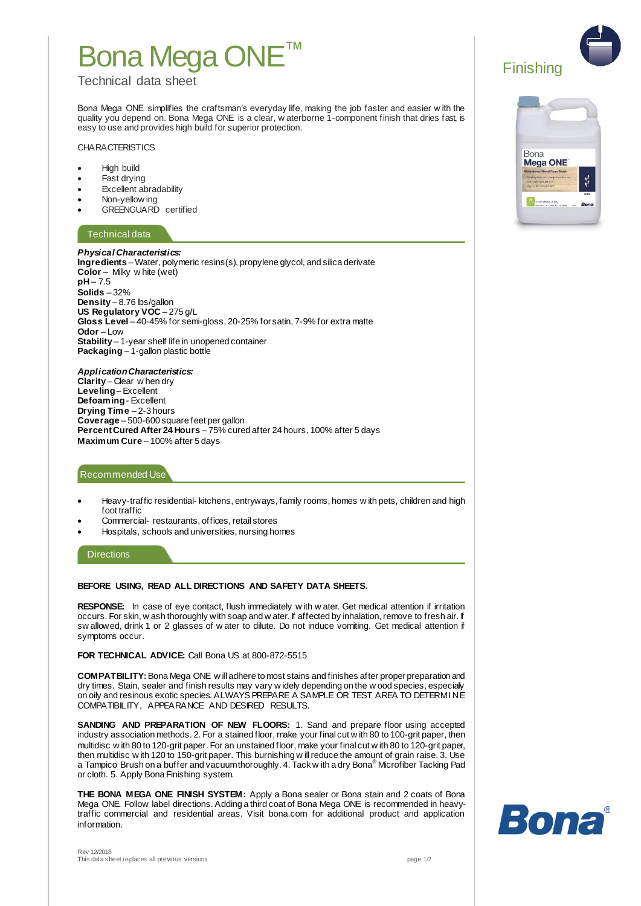# Bona Mega ONE

## Technical data sheet

Bona Mega ONE simplifies the craftsman's everyday life, making the job faster and easier w ith the quality you depend on. Bona Mega ONE is a clear, w aterborne 1-component finish that dries fast, is easy to use and provides high build for superior protection.

#### **CHARACTERISTICS**

- High build
- Fast drying
- Excellent abradability
- Non-yellow ing
- GREENGUARD certified

## Technical data

*Physical Characteristics:* **Ingredients** – Water, polymeric resins(s), propylene glycol, and silica derivate **Color** – Milky w hite (wet) **pH** – 7.5 **Solids** – 32% **Density** – 8.76 lbs/gallon **US Regulatory VOC** – 275 g/L **Gloss Level** – 40-45% for semi-gloss, 20-25% for satin, 7-9% for extra matte **Odor** – Low **Stability** – 1-year shelf life in unopened container **Packaging** – 1-gallon plastic bottle

*Application Characteristics:*  **Clarity** – Clear w hen dry **Leveling**– Excellent **Defoaming**- Excellent **Drying Time** – 2-3 hours **Coverage** – 500-600 square feet per gallon **Percent Cured After 24 Hours** – 75% cured after 24 hours, 100% after 5 days **Maximum Cure** – 100% after 5 days

## Recommended Use

- Heavy-traffic residential- kitchens, entryways, family rooms, homes w ith pets, children and high foot traffic
- Commercial- restaurants, offices, retail stores
- Hospitals, schools and universities, nursing homes

**Directions** 

Rev 12/2018

### **BEFORE USING, READ ALL DIRECTIONS AND SAFETY DATA SHEETS.**

**RESPONSE:** In case of eye contact, flush immediately w ith w ater. Get medical attention if irritation occurs. For skin, w ash thoroughly with soap and w ater. If affected by inhalation, remove to fresh air. If sw allowed, drink 1 or 2 glasses of w ater to dilute. Do not induce vomiting. Get medical attention if symptoms occur.

### **FOR TECHNICAL ADVICE:** Call Bona US at 800-872-5515

**COMPATBILITY:**Bona Mega ONE w ill adhere to most stains and finishes after proper preparation and dry times. Stain, sealer and finish results may vary w idely depending on the w ood species, especially on oily and resinous exotic species. ALWAYS PREPARE A SAMPLE OR TEST AREA TO DETERMINE COMPATIBILITY, APPEARANCE AND DESIRED RESULTS.

**SANDING AND PREPARATION OF NEW FLOORS:** 1. Sand and prepare floor using accepted industry association methods. 2. For a stained floor, make your final cut w ith 80 to 100-grit paper, then multidisc w ith 80 to 120-grit paper. For an unstained floor, make your final cut w ith 80 to 120-grit paper, then multidisc w ith 120 to 150-grit paper. This burnishing w ill reduce the amount of grain raise. 3. Use<br>a Tampico Brush on a buffer and vacuum thoroughly. 4. Tack w ith a dry Bona® Microfiber Tacking Pad or cloth. 5. Apply Bona Finishing system.

**THE BONA MEGA ONE FINISH SYSTEM:** Apply a Bona sealer or Bona stain and 2 coats of Bona Mega ONE. Follow label directions. Adding a third coat of Bona Mega ONE is recommended in heavytraffic commercial and residential areas. Visit bona.com for additional product and application information.



Finishing